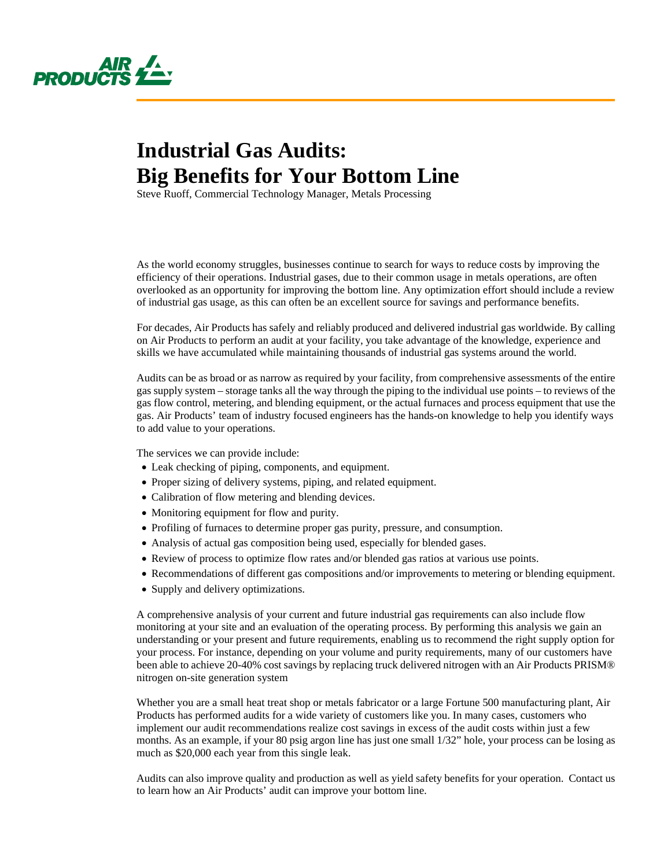

## **Industrial Gas Audits: Big Benefits for Your Bottom Line**

Steve Ruoff, Commercial Technology Manager, Metals Processing

As the world economy struggles, businesses continue to search for ways to reduce costs by improving the efficiency of their operations. Industrial gases, due to their common usage in metals operations, are often overlooked as an opportunity for improving the bottom line. Any optimization effort should include a review of industrial gas usage, as this can often be an excellent source for savings and performance benefits.

For decades, Air Products has safely and reliably produced and delivered industrial gas worldwide. By calling on Air Products to perform an audit at your facility, you take advantage of the knowledge, experience and skills we have accumulated while maintaining thousands of industrial gas systems around the world.

Audits can be as broad or as narrow as required by your facility, from comprehensive assessments of the entire gas supply system – storage tanks all the way through the piping to the individual use points – to reviews of the gas flow control, metering, and blending equipment, or the actual furnaces and process equipment that use the gas. Air Products' team of industry focused engineers has the hands-on knowledge to help you identify ways to add value to your operations.

The services we can provide include:

- Leak checking of piping, components, and equipment.
- Proper sizing of delivery systems, piping, and related equipment.
- Calibration of flow metering and blending devices.
- Monitoring equipment for flow and purity.
- Profiling of furnaces to determine proper gas purity, pressure, and consumption.
- Analysis of actual gas composition being used, especially for blended gases.
- Review of process to optimize flow rates and/or blended gas ratios at various use points.
- Recommendations of different gas compositions and/or improvements to metering or blending equipment.
- Supply and delivery optimizations.

A comprehensive analysis of your current and future industrial gas requirements can also include flow monitoring at your site and an evaluation of the operating process. By performing this analysis we gain an understanding or your present and future requirements, enabling us to recommend the right supply option for your process. For instance, depending on your volume and purity requirements, many of our customers have been able to achieve 20-40% cost savings by replacing truck delivered nitrogen with an Air Products PRISM® nitrogen on-site generation system

Whether you are a small heat treat shop or metals fabricator or a large Fortune 500 manufacturing plant, Air Products has performed audits for a wide variety of customers like you. In many cases, customers who implement our audit recommendations realize cost savings in excess of the audit costs within just a few months. As an example, if your 80 psig argon line has just one small 1/32" hole, your process can be losing as much as \$20,000 each year from this single leak.

Audits can also improve quality and production as well as yield safety benefits for your operation. Contact us to learn how an Air Products' audit can improve your bottom line.